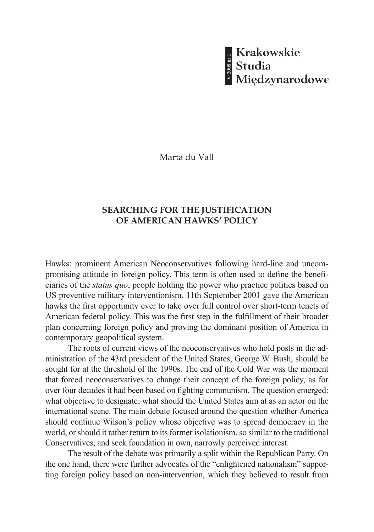Marta du Vall

## **SEARCHING FOR THE JUSTIFICATION OF AMERICAN HAWKS' POLICY**

Hawks: prominent American Neoconservatives following hard-line and uncompromising attitude in foreign policy. This term is often used to define the beneficiaries of the *status quo*, people holding the power who practice politics based on US preventive military interventionism. 11th September 2001 gave the American hawks the first opportunity ever to take over full control over short-term tenets of American federal policy. This was the first step in the fulfillment of their broader plan concerning foreign policy and proving the dominant position of America in contemporary geopolitical system.

The roots of current views of the neoconservatives who hold posts in the administration of the 43rd president of the United States, George W. Bush, should be sought for at the threshold of the 1990s. The end of the Cold War was the moment that forced neoconservatives to change their concept of the foreign policy, as for over four decades it had been based on fighting communism. The question emerged: what objective to designate; what should the United States aim at as an actor on the international scene. The main debate focused around the question whether America should continue Wilson's policy whose objective was to spread democracy in the world, or should it rather return to its former isolationism, so similar to the traditional Conservatives, and seek foundation in own, narrowly perceived interest. **EXARCHING FOR THE JUSTIFICATION**<br> **SEARCHING FOR THE JUSTIFICATION**<br> **SEARCHING FOR THE JUSTIFICATION**<br> **OF AMERICAN HAWKS' POLICY**<br> **Hawks:** prominent American Neoconservatives following hard-line and uncomponents<br>ing at

The result of the debate was primarily a split within the Republican Party. On the one hand, there were further advocates of the "enlightened nationalism" suppor-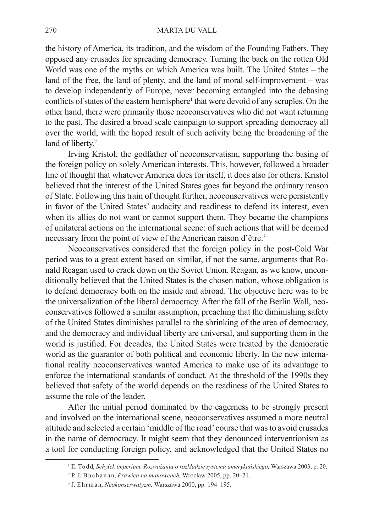the history of America, its tradition, and the wisdom of the Founding Fathers. They opposed any crusades for spreading democracy. Turning the back on the rotten Old World was one of the myths on which America was built. The United States – the land of the free, the land of plenty, and the land of moral self-improvement – was to develop independently of Europe, never becoming entangled into the debasing conflicts of states of the eastern hemisphere<sup>1</sup> that were devoid of any scruples. On the other hand, there were primarily those neoconservatives who did not want returning to the past. The desired a broad scale campaign to support spreading democracy all over the world, with the hoped result of such activity being the broadening of the land of liberty.<sup>2</sup>

Irving Kristol, the godfather of neoconservatism, supporting the basing of the foreign policy on solely American interests. This, however, followed a broader line of thought that whatever America does for itself, it does also for others. Kristol believed that the interest of the United States goes far beyond the ordinary reason of State. Following this train of thought further, neoconservatives were persistently in favor of the United States' audacity and readiness to defend its interest, even when its allies do not want or cannot support them. They became the champions of unilateral actions on the international scene: of such actions that will be deemed necessary from the point of view of the American raison d'être.3

Neoconservatives considered that the foreign policy in the post-Cold War period was to a great extent based on similar, if not the same, arguments that Ronald Reagan used to crack down on the Soviet Union. Reagan, as we know, unconditionally believed that the United States is the chosen nation, whose obligation is to defend democracy both on the inside and abroad. The objective here was to be the universalization of the liberal democracy. After the fall of the Berlin Wall, neoconservatives followed a similar assumption, preaching that the diminishing safety of the United States diminishes parallel to the shrinking of the area of democracy, and the democracy and individual liberty are universal, and supporting them in the world is justified. For decades, the United States were treated by the democratic world as the guarantor of both political and economic liberty. In the new international reality neoconservatives wanted America to make use of its advantage to enforce the international standards of conduct. At the threshold of the 1990s they believed that safety of the world depends on the readiness of the United States to assume the role of the leader.

After the initial period dominated by the eagerness to be strongly present and involved on the international scene, neoconservatives assumed a more neutral attitude and selected a certain 'middle of the road' course that was to avoid crusades in the name of democracy. It might seem that they denounced interventionism as a tool for conducting foreign policy, and acknowledged that the United States no

<sup>1</sup> E. To d d, *Schyłek imperium. Rozważania o rozkładzie systemu amerykańskiego,* Warszawa 2003, p. 20.

<sup>2</sup> P. J. B u c h a n a n, *Prawica na manowcach,* Wrocław 2005, pp. 20–21.

<sup>3</sup> J. E h r m a n, *Neokonserwatyzm,* Warszawa 2000, pp. 194–195.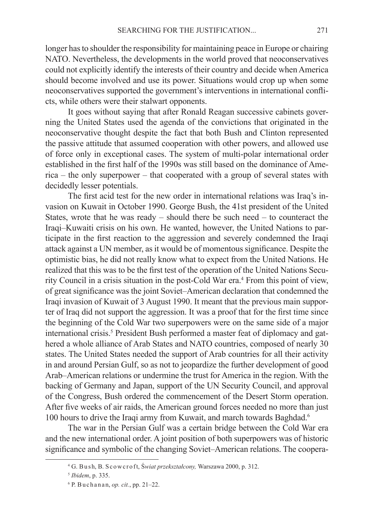longer has to shoulder the responsibility for maintaining peace in Europe or chairing NATO. Nevertheless, the developments in the world proved that neoconservatives could not explicitly identify the interests of their country and decide when America should become involved and use its power. Situations would crop up when some neoconservatives supported the government's interventions in international conflicts, while others were their stalwart opponents.

It goes without saying that after Ronald Reagan successive cabinets governing the United States used the agenda of the convictions that originated in the neoconservative thought despite the fact that both Bush and Clinton represented the passive attitude that assumed cooperation with other powers, and allowed use of force only in exceptional cases. The system of multi-polar international order established in the first half of the 1990s was still based on the dominance of America – the only superpower – that cooperated with a group of several states with decidedly lesser potentials.

The first acid test for the new order in international relations was Iraq's invasion on Kuwait in October 1990. George Bush, the 41st president of the United States, wrote that he was ready  $-$  should there be such need  $-$  to counteract the Iraqi–Kuwaiti crisis on his own. He wanted, however, the United Nations to participate in the first reaction to the aggression and severely condemned the Iraqi attack against a UN member, as it would be of momentous significance. Despite the optimistic bias, he did not really know what to expect from the United Nations. He realized that this was to be the first test of the operation of the United Nations Security Council in a crisis situation in the post-Cold War era.<sup>4</sup> From this point of view, of great significance was the joint Soviet–American declaration that condemned the Iraqi invasion of Kuwait of 3 August 1990. It meant that the previous main supporter of Iraq did not support the aggression. It was a proof that for the first time since the beginning of the Cold War two superpowers were on the same side of a major international crisis.<sup>5</sup> President Bush performed a master feat of diplomacy and gathered a whole alliance of Arab States and NATO countries, composed of nearly 30 states. The United States needed the support of Arab countries for all their activity in and around Persian Gulf, so as not to jeopardize the further development of good Arab–American relations or undermine the trust for America in the region. With the backing of Germany and Japan, support of the UN Security Council, and approval of the Congress, Bush ordered the commencement of the Desert Storm operation. After five weeks of air raids, the American ground forces needed no more than just 100 hours to drive the Iraqi army from Kuwait, and march towards Baghdad.<sup>6</sup>

The war in the Persian Gulf was a certain bridge between the Cold War era and the new international order. A joint position of both superpowers was of historic significance and symbolic of the changing Soviet–American relations. The coopera-

<sup>4</sup> G. B u s h, B. S c o w c r o f t, Ś*wiat przekształcony,* Warszawa 2000, p. 312.

<sup>5</sup> *Ibidem*, p. 335.

<sup>6</sup> P. B u c h a n a n, *op. cit.*, pp. 21–22.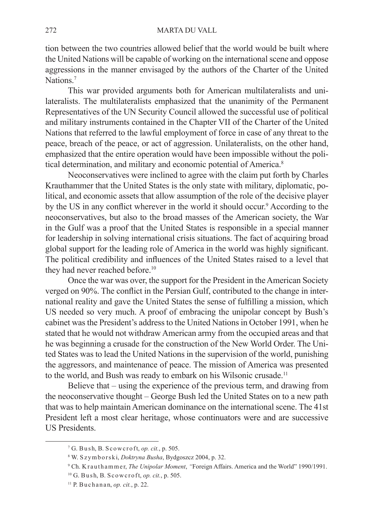tion between the two countries allowed belief that the world would be built where the United Nations will be capable of working on the international scene and oppose aggressions in the manner envisaged by the authors of the Charter of the United Nations<sup>7</sup>

This war provided arguments both for American multilateralists and unilateralists. The multilateralists emphasized that the unanimity of the Permanent Representatives of the UN Security Council allowed the successful use of political and military instruments contained in the Chapter VII of the Charter of the United Nations that referred to the lawful employment of force in case of any threat to the peace, breach of the peace, or act of aggression. Unilateralists, on the other hand, emphasized that the entire operation would have been impossible without the political determination, and military and economic potential of America.<sup>8</sup>

Neoconservatives were inclined to agree with the claim put forth by Charles Krauthammer that the United States is the only state with military, diplomatic, political, and economic assets that allow assumption of the role of the decisive player by the US in any conflict wherever in the world it should occur.<sup>9</sup> According to the neoconservatives, but also to the broad masses of the American society, the War in the Gulf was a proof that the United States is responsible in a special manner for leadership in solving international crisis situations. The fact of acquiring broad global support for the leading role of America in the world was highly significant. The political credibility and influences of the United States raised to a level that they had never reached before.<sup>10</sup>

Once the war was over, the support for the President in the American Society verged on 90%. The conflict in the Persian Gulf, contributed to the change in international reality and gave the United States the sense of fulfilling a mission, which US needed so very much. A proof of embracing the unipolar concept by Bush's cabinet was the President's address to the United Nations in October 1991, when he stated that he would not withdraw American army from the occupied areas and that he was beginning a crusade for the construction of the New World Order. The United States was to lead the United Nations in the supervision of the world, punishing the aggressors, and maintenance of peace. The mission of America was presented to the world, and Bush was ready to embark on his Wilsonic crusade.<sup>11</sup>

Believe that – using the experience of the previous term, and drawing from the neoconservative thought – George Bush led the United States on to a new path that was to help maintain American dominance on the international scene. The 41st President left a most clear heritage, whose continuators were and are successive US Presidents.

<sup>7</sup> G. B u s h, B. S c o w c r o f t, *op. cit.*, p. 505.

<sup>8</sup> W. S z y m b o r s k i, *Doktryna Busha*, Bydgoszcz 2004, p. 32.

<sup>9</sup> Ch. K r a u t h a m m e r, *The Unipolar Moment*, *"*Foreign Affairs. America and the World" 1990/1991.

<sup>&</sup>lt;sup>10</sup> G. Bush, B. Scowcroft, *op. cit.*, p. 505.

<sup>11</sup> P. B u c h a n a n, *op. cit.*, p. 22.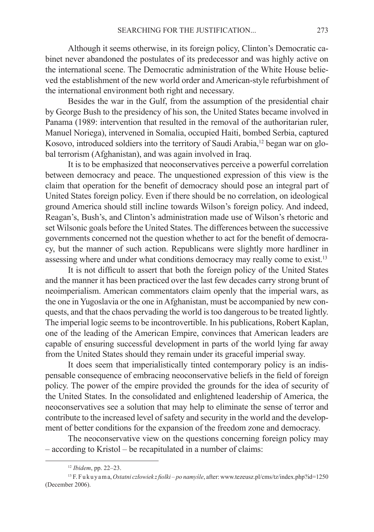Although it seems otherwise, in its foreign policy, Clinton's Democratic cabinet never abandoned the postulates of its predecessor and was highly active on the international scene. The Democratic administration of the White House believed the establishment of the new world order and American-style refurbishment of the international environment both right and necessary.

Besides the war in the Gulf, from the assumption of the presidential chair by George Bush to the presidency of his son, the United States became involved in Panama (1989: intervention that resulted in the removal of the authoritarian ruler, Manuel Noriega), intervened in Somalia, occupied Haiti, bombed Serbia, captured Kosovo, introduced soldiers into the territory of Saudi Arabia,12 began war on global terrorism (Afghanistan), and was again involved in Iraq.

It is to be emphasized that neoconservatives perceive a powerful correlation between democracy and peace. The unquestioned expression of this view is the claim that operation for the benefit of democracy should pose an integral part of United States foreign policy. Even if there should be no correlation, on ideological ground America should still incline towards Wilson's foreign policy. And indeed, Reagan's, Bush's, and Clinton's administration made use of Wilson's rhetoric and set Wilsonic goals before the United States. The differences between the successive governments concerned not the question whether to act for the benefit of democracy, but the manner of such action. Republicans were slightly more hardliner in assessing where and under what conditions democracy may really come to exist.<sup>13</sup>

It is not difficult to assert that both the foreign policy of the United States and the manner it has been practiced over the last few decades carry strong brunt of neoimperialism. American commentators claim openly that the imperial wars, as the one in Yugoslavia or the one in Afghanistan, must be accompanied by new conquests, and that the chaos pervading the world is too dangerous to be treated lightly. The imperial logic seems to be incontrovertible. In his publications, Robert Kaplan, one of the leading of the American Empire, convinces that American leaders are capable of ensuring successful development in parts of the world lying far away from the United States should they remain under its graceful imperial sway.

It does seem that imperialistically tinted contemporary policy is an indispensable consequence of embracing neoconservative beliefs in the field of foreign policy. The power of the empire provided the grounds for the idea of security of the United States. In the consolidated and enlightened leadership of America, the neoconservatives see a solution that may help to eliminate the sense of terror and contribute to the increased level of safety and security in the world and the development of better conditions for the expansion of the freedom zone and democracy.

The neoconservative view on the questions concerning foreign policy may – according to Kristol – be recapitulated in a number of claims:

<sup>12</sup> *Ibidem*, pp. 22–23.

<sup>13</sup> F. F u k u y a m a, *Ostatni człowiek z fiolki – po namyśle*, after: www.tezeusz.pl/cms/tz/index.php?id=1250 (December 2006).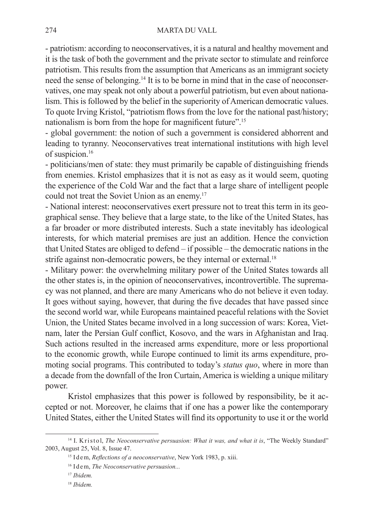- patriotism: according to neoconservatives, it is a natural and healthy movement and it is the task of both the government and the private sector to stimulate and reinforce patriotism. This results from the assumption that Americans as an immigrant society need the sense of belonging.14 It is to be borne in mind that in the case of neoconservatives, one may speak not only about a powerful patriotism, but even about nationalism. This is followed by the belief in the superiority of American democratic values. To quote Irving Kristol, "patriotism flows from the love for the national past/history; nationalism is born from the hope for magnificent future".<sup>15</sup>

- global government: the notion of such a government is considered abhorrent and leading to tyranny. Neoconservatives treat international institutions with high level of suspicion.16

- politicians/men of state: they must primarily be capable of distinguishing friends from enemies. Kristol emphasizes that it is not as easy as it would seem, quoting the experience of the Cold War and the fact that a large share of intelligent people could not treat the Soviet Union as an enemy.17

- National interest: neoconservatives exert pressure not to treat this term in its geographical sense. They believe that a large state, to the like of the United States, has a far broader or more distributed interests. Such a state inevitably has ideological interests, for which material premises are just an addition. Hence the conviction that United States are obliged to defend – if possible – the democratic nations in the strife against non-democratic powers, be they internal or external.<sup>18</sup>

- Military power: the overwhelming military power of the United States towards all the other states is, in the opinion of neoconservatives, incontrovertible. The supremacy was not planned, and there are many Americans who do not believe it even today. It goes without saying, however, that during the five decades that have passed since the second world war, while Europeans maintained peaceful relations with the Soviet Union, the United States became involved in a long succession of wars: Korea, Vietnam, later the Persian Gulf conflict, Kosovo, and the wars in Afghanistan and Iraq. Such actions resulted in the increased arms expenditure, more or less proportional to the economic growth, while Europe continued to limit its arms expenditure, promoting social programs. This contributed to today's *status quo*, where in more than a decade from the downfall of the Iron Curtain, America is wielding a unique military power.

Kristol emphasizes that this power is followed by responsibility, be it accepted or not. Moreover, he claims that if one has a power like the contemporary United States, either the United States will find its opportunity to use it or the world

<sup>&</sup>lt;sup>14</sup> I. K r is to l, *The Neoconservative persuasion: What it was, and what it is, "The Weekly Standard"* 2003, August 25, Vol. 8, Issue 47.

<sup>&</sup>lt;sup>15</sup> I d e m, *Reflections of a neoconservative*, New York 1983, p. xiii.

<sup>&</sup>lt;sup>16</sup> I dem, *The Neoconservative persuasion...* 

<sup>17</sup> *Ibidem.*

<sup>18</sup> *Ibidem.*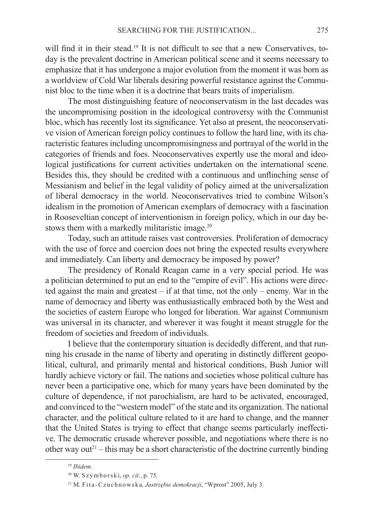will find it in their stead.<sup>19</sup> It is not difficult to see that a new Conservatives, today is the prevalent doctrine in American political scene and it seems necessary to emphasize that it has undergone a major evolution from the moment it was born as a worldview of Cold War liberals desiring powerful resistance against the Communist bloc to the time when it is a doctrine that bears traits of imperialism.

The most distinguishing feature of neoconservatism in the last decades was the uncompromising position in the ideological controversy with the Communist bloc, which has recently lost its significance. Yet also at present, the neoconservative vision of American foreign policy continues to follow the hard line, with its characteristic features including uncompromisingness and portrayal of the world in the categories of friends and foes. Neoconservatives expertly use the moral and ideological justifications for current activities undertaken on the international scene. Besides this, they should be credited with a continuous and unflinching sense of Messianism and belief in the legal validity of policy aimed at the universalization of liberal democracy in the world. Neoconservatives tried to combine Wilson's idealism in the promotion of American exemplars of democracy with a fascination in Rooseveltian concept of interventionism in foreign policy, which in our day bestows them with a markedly militaristic image.<sup>20</sup>

Today, such an attitude raises vast controversies. Proliferation of democracy with the use of force and coercion does not bring the expected results everywhere and immediately. Can liberty and democracy be imposed by power?

The presidency of Ronald Reagan came in a very special period. He was a politician determined to put an end to the "empire of evil". His actions were directed against the main and greatest  $-$  if at that time, not the only  $-$  enemy. War in the name of democracy and liberty was enthusiastically embraced both by the West and the societies of eastern Europe who longed for liberation. War against Communism was universal in its character, and wherever it was fought it meant struggle for the freedom of societies and freedom of individuals.

I believe that the contemporary situation is decidedly different, and that running his crusade in the name of liberty and operating in distinctly different geopolitical, cultural, and primarily mental and historical conditions, Bush Junior will hardly achieve victory or fail. The nations and societies whose political culture has never been a participative one, which for many years have been dominated by the culture of dependence, if not parochialism, are hard to be activated, encouraged, and convinced to the "western model" of the state and its organization. The national character, and the political culture related to it are hard to change, and the manner that the United States is trying to effect that change seems particularly ineffective. The democratic crusade wherever possible, and negotiations where there is no other way out<sup>21</sup> – this may be a short characteristic of the doctrine currently binding

<sup>19</sup> *Ibidem.*

<sup>20</sup> W. S z y m b o r s k i, *op. cit.*, p. 75.

<sup>&</sup>lt;sup>21</sup> M. Fita-Czuchnowska, Jastrzębie demokracji, "Wprost" 2005, July 3.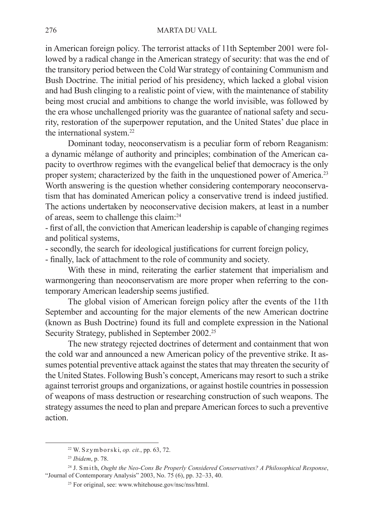## 276 MARTA DU VALL

in American foreign policy. The terrorist attacks of 11th September 2001 were followed by a radical change in the American strategy of security: that was the end of the transitory period between the Cold War strategy of containing Communism and Bush Doctrine. The initial period of his presidency, which lacked a global vision and had Bush clinging to a realistic point of view, with the maintenance of stability being most crucial and ambitions to change the world invisible, was followed by the era whose unchallenged priority was the guarantee of national safety and security, restoration of the superpower reputation, and the United States' due place in the international system.22

Dominant today, neoconservatism is a peculiar form of reborn Reaganism: a dynamic mélange of authority and principles; combination of the American capacity to overthrow regimes with the evangelical belief that democracy is the only proper system; characterized by the faith in the unquestioned power of America.<sup>23</sup> Worth answering is the question whether considering contemporary neoconservatism that has dominated American policy a conservative trend is indeed justified. The actions undertaken by neoconservative decision makers, at least in a number of areas, seem to challenge this claim:24

- first of all, the conviction that American leadership is capable of changing regimes and political systems,

- secondly, the search for ideological justifications for current foreign policy,

- finally, lack of attachment to the role of community and society.

With these in mind, reiterating the earlier statement that imperialism and warmongering than neoconservatism are more proper when referring to the contemporary American leadership seems justified.

The global vision of American foreign policy after the events of the 11th September and accounting for the major elements of the new American doctrine (known as Bush Doctrine) found its full and complete expression in the National Security Strategy, published in September 2002.<sup>25</sup>

The new strategy rejected doctrines of determent and containment that won the cold war and announced a new American policy of the preventive strike. It assumes potential preventive attack against the states that may threaten the security of the United States. Following Bush's concept, Americans may resort to such a strike against terrorist groups and organizations, or against hostile countries in possession of weapons of mass destruction or researching construction of such weapons. The strategy assumes the need to plan and prepare American forces to such a preventive action.

<sup>22</sup> W. S z y m b o r s k i, *op. cit.*, pp. 63, 72.

<sup>23</sup> *Ibidem*, p. 78.

<sup>&</sup>lt;sup>24</sup> J. Smith, *Ought the Neo-Cons Be Properly Considered Conservatives? A Philosophical Response,* "Journal of Contemporary Analysis" 2003, No. 75 (6), pp. 32–33, 40.

<sup>&</sup>lt;sup>25</sup> For original, see: www.whitehouse.gov/nsc/nss/html.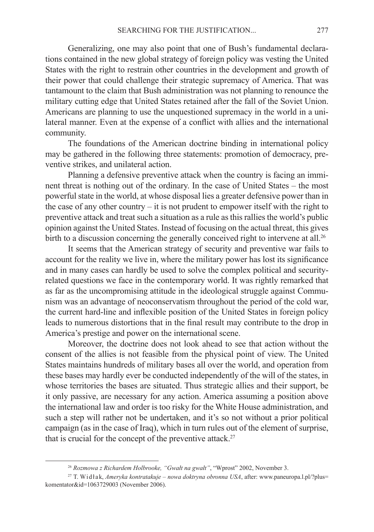Generalizing, one may also point that one of Bush's fundamental declarations contained in the new global strategy of foreign policy was vesting the United States with the right to restrain other countries in the development and growth of their power that could challenge their strategic supremacy of America. That was tantamount to the claim that Bush administration was not planning to renounce the military cutting edge that United States retained after the fall of the Soviet Union. Americans are planning to use the unquestioned supremacy in the world in a unilateral manner. Even at the expense of a conflict with allies and the international community.

The foundations of the American doctrine binding in international policy may be gathered in the following three statements: promotion of democracy, preventive strikes, and unilateral action.

Planning a defensive preventive attack when the country is facing an imminent threat is nothing out of the ordinary. In the case of United States – the most powerful state in the world, at whose disposal lies a greater defensive power than in the case of any other country – it is not prudent to empower itself with the right to preventive attack and treat such a situation as a rule as this rallies the world's public opinion against the United States. Instead of focusing on the actual threat, this gives birth to a discussion concerning the generally conceived right to intervene at all.<sup>26</sup>

It seems that the American strategy of security and preventive war fails to account for the reality we live in, where the military power has lost its significance and in many cases can hardly be used to solve the complex political and securityrelated questions we face in the contemporary world. It was rightly remarked that as far as the uncompromising attitude in the ideological struggle against Communism was an advantage of neoconservatism throughout the period of the cold war, the current hard-line and inflexible position of the United States in foreign policy leads to numerous distortions that in the final result may contribute to the drop in America's prestige and power on the international scene.

Moreover, the doctrine does not look ahead to see that action without the consent of the allies is not feasible from the physical point of view. The United States maintains hundreds of military bases all over the world, and operation from these bases may hardly ever be conducted independently of the will of the states, in whose territories the bases are situated. Thus strategic allies and their support, be it only passive, are necessary for any action. America assuming a position above the international law and order is too risky for the White House administration, and such a step will rather not be undertaken, and it's so not without a prior political campaign (as in the case of Iraq), which in turn rules out of the element of surprise, that is crucial for the concept of the preventive attack.<sup>27</sup>

<sup>26</sup> *Rozmowa z Richardem Holbrooke, "Gwałt na gwałt"*, "Wprost" 2002, November 3.

<sup>&</sup>lt;sup>27</sup> T. Widłak, *Ameryka kontratakuje – nowa doktryna obronna USA*, after: www.paneuropa.l.pl/?plus= komentator&id=1063729003 (November 2006).